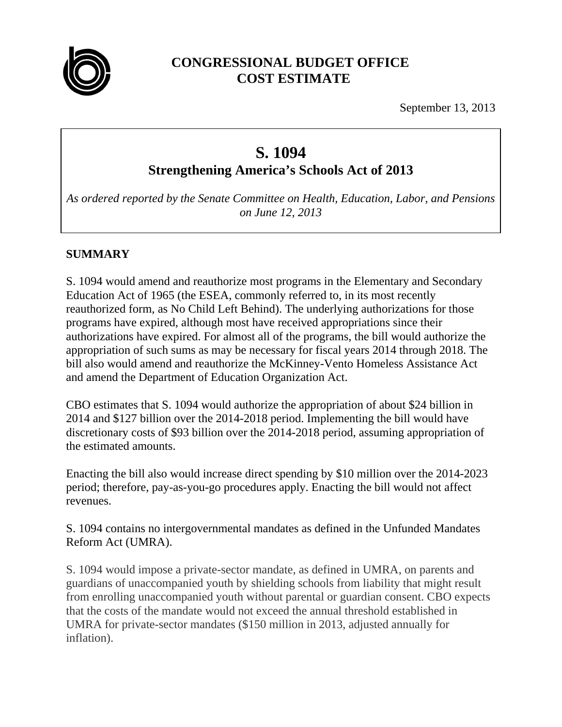

# **CONGRESSIONAL BUDGET OFFICE COST ESTIMATE**

September 13, 2013

# **S. 1094**

**Strengthening America's Schools Act of 2013** 

*As ordered reported by the Senate Committee on Health, Education, Labor, and Pensions on June 12, 2013* 

# **SUMMARY**

S. 1094 would amend and reauthorize most programs in the Elementary and Secondary Education Act of 1965 (the ESEA, commonly referred to, in its most recently reauthorized form, as No Child Left Behind). The underlying authorizations for those programs have expired, although most have received appropriations since their authorizations have expired. For almost all of the programs, the bill would authorize the appropriation of such sums as may be necessary for fiscal years 2014 through 2018. The bill also would amend and reauthorize the McKinney-Vento Homeless Assistance Act and amend the Department of Education Organization Act.

CBO estimates that S. 1094 would authorize the appropriation of about \$24 billion in 2014 and \$127 billion over the 2014-2018 period. Implementing the bill would have discretionary costs of \$93 billion over the 2014-2018 period, assuming appropriation of the estimated amounts.

Enacting the bill also would increase direct spending by \$10 million over the 2014-2023 period; therefore, pay-as-you-go procedures apply. Enacting the bill would not affect revenues.

S. 1094 contains no intergovernmental mandates as defined in the Unfunded Mandates Reform Act (UMRA).

S. 1094 would impose a private-sector mandate, as defined in UMRA, on parents and guardians of unaccompanied youth by shielding schools from liability that might result from enrolling unaccompanied youth without parental or guardian consent. CBO expects that the costs of the mandate would not exceed the annual threshold established in UMRA for private-sector mandates (\$150 million in 2013, adjusted annually for inflation).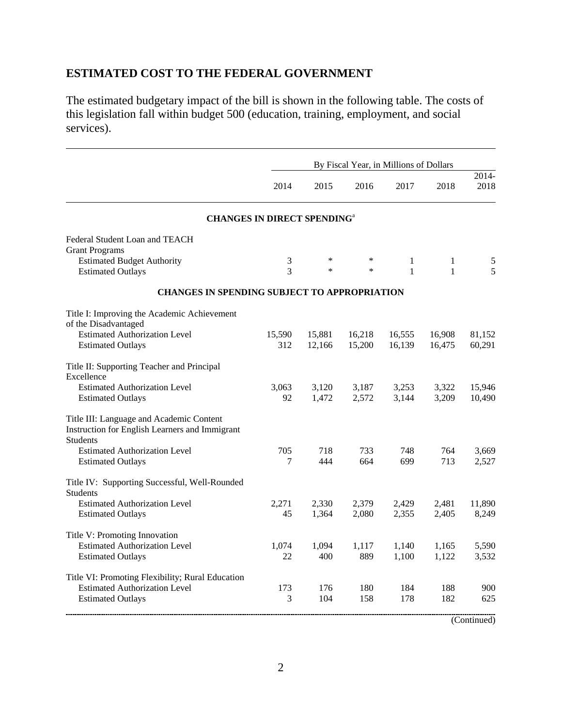# **ESTIMATED COST TO THE FEDERAL GOVERNMENT**

The estimated budgetary impact of the bill is shown in the following table. The costs of this legislation fall within budget 500 (education, training, employment, and social services).

|                                                                                                               | By Fiscal Year, in Millions of Dollars |        |        |              |              |               |  |  |  |
|---------------------------------------------------------------------------------------------------------------|----------------------------------------|--------|--------|--------------|--------------|---------------|--|--|--|
|                                                                                                               | 2014                                   | 2015   | 2016   | 2017         | 2018         | 2014-<br>2018 |  |  |  |
| <b>CHANGES IN DIRECT SPENDING</b> <sup>a</sup>                                                                |                                        |        |        |              |              |               |  |  |  |
| Federal Student Loan and TEACH                                                                                |                                        |        |        |              |              |               |  |  |  |
| <b>Grant Programs</b>                                                                                         |                                        |        |        |              |              |               |  |  |  |
| <b>Estimated Budget Authority</b>                                                                             | 3                                      | *      | ∗      | 1            | 1            | 5             |  |  |  |
| <b>Estimated Outlays</b>                                                                                      | 3                                      | $\ast$ | $\ast$ | $\mathbf{1}$ | $\mathbf{1}$ | 5             |  |  |  |
| <b>CHANGES IN SPENDING SUBJECT TO APPROPRIATION</b>                                                           |                                        |        |        |              |              |               |  |  |  |
| Title I: Improving the Academic Achievement<br>of the Disadvantaged                                           |                                        |        |        |              |              |               |  |  |  |
| <b>Estimated Authorization Level</b>                                                                          | 15,590                                 | 15,881 | 16,218 | 16,555       | 16,908       | 81,152        |  |  |  |
| <b>Estimated Outlays</b>                                                                                      | 312                                    | 12,166 | 15,200 | 16,139       | 16,475       | 60,291        |  |  |  |
| Title II: Supporting Teacher and Principal<br>Excellence                                                      |                                        |        |        |              |              |               |  |  |  |
| <b>Estimated Authorization Level</b>                                                                          | 3.063                                  | 3,120  | 3,187  | 3,253        | 3,322        | 15,946        |  |  |  |
| <b>Estimated Outlays</b>                                                                                      | 92                                     | 1,472  | 2,572  | 3,144        | 3,209        | 10,490        |  |  |  |
| Title III: Language and Academic Content<br>Instruction for English Learners and Immigrant<br><b>Students</b> |                                        |        |        |              |              |               |  |  |  |
| <b>Estimated Authorization Level</b>                                                                          | 705                                    | 718    | 733    | 748          | 764          | 3,669         |  |  |  |
| <b>Estimated Outlays</b>                                                                                      | 7                                      | 444    | 664    | 699          | 713          | 2,527         |  |  |  |
| Title IV: Supporting Successful, Well-Rounded<br><b>Students</b>                                              |                                        |        |        |              |              |               |  |  |  |
| <b>Estimated Authorization Level</b>                                                                          | 2,271                                  | 2,330  | 2,379  | 2,429        | 2,481        | 11,890        |  |  |  |
| <b>Estimated Outlays</b>                                                                                      | 45                                     | 1,364  | 2,080  | 2,355        | 2,405        | 8,249         |  |  |  |
| Title V: Promoting Innovation                                                                                 |                                        |        |        |              |              |               |  |  |  |
| <b>Estimated Authorization Level</b>                                                                          | 1,074                                  | 1,094  | 1,117  | 1,140        | 1,165        | 5,590         |  |  |  |
| <b>Estimated Outlays</b>                                                                                      | 22                                     | 400    | 889    | 1,100        | 1,122        | 3,532         |  |  |  |
| Title VI: Promoting Flexibility; Rural Education                                                              |                                        |        |        |              |              |               |  |  |  |
| <b>Estimated Authorization Level</b>                                                                          | 173                                    | 176    | 180    | 184          | 188          | 900           |  |  |  |
| <b>Estimated Outlays</b>                                                                                      | 3                                      | 104    | 158    | 178          | 182          | 625           |  |  |  |

(Continued)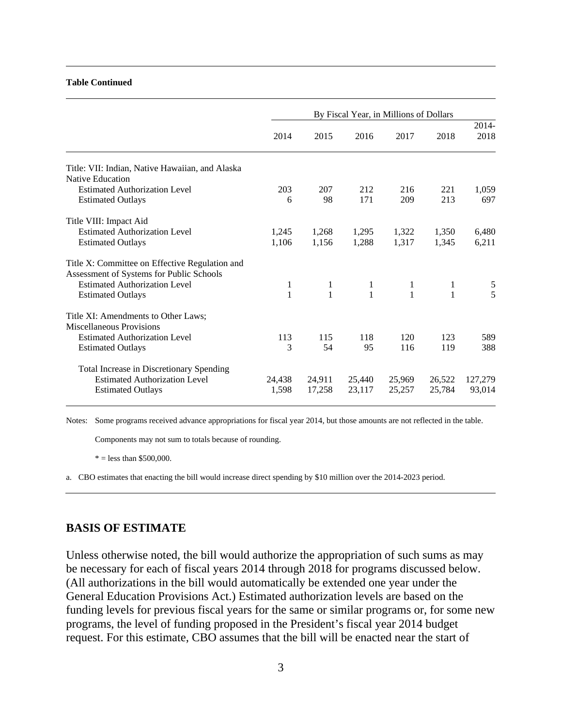#### **Table Continued**

|                                                                                                              | By Fiscal Year, in Millions of Dollars |                                          |                  |                  |                  |                   |  |  |  |
|--------------------------------------------------------------------------------------------------------------|----------------------------------------|------------------------------------------|------------------|------------------|------------------|-------------------|--|--|--|
|                                                                                                              | 2014                                   | 2015                                     | 2016             | 2017             | 2018             | 2014-<br>2018     |  |  |  |
| Title: VII: Indian, Native Hawaiian, and Alaska<br><b>Native Education</b>                                   |                                        |                                          |                  |                  |                  |                   |  |  |  |
| <b>Estimated Authorization Level</b><br><b>Estimated Outlays</b>                                             | 203<br>6                               | 207<br>98                                | 212<br>171       | 216<br>209       | 221<br>213       | 1,059<br>697      |  |  |  |
| Title VIII: Impact Aid                                                                                       |                                        |                                          |                  |                  |                  |                   |  |  |  |
| <b>Estimated Authorization Level</b><br><b>Estimated Outlays</b>                                             | 1,245<br>1,106                         | 1,268<br>1,156                           | 1,295<br>1,288   | 1,322<br>1,317   | 1,350<br>1,345   | 6,480<br>6,211    |  |  |  |
| Title X: Committee on Effective Regulation and<br>Assessment of Systems for Public Schools                   |                                        |                                          |                  |                  |                  |                   |  |  |  |
| <b>Estimated Authorization Level</b><br><b>Estimated Outlays</b>                                             | $\mathbf{1}$<br>$\mathbf{1}$           | $1 \quad \blacksquare$<br>$\overline{1}$ | $\frac{1}{1}$    | $\frac{1}{1}$    | $\mathbf{1}$     | $rac{5}{5}$       |  |  |  |
| Title XI: Amendments to Other Laws;<br>Miscellaneous Provisions                                              |                                        |                                          |                  |                  |                  |                   |  |  |  |
| <b>Estimated Authorization Level</b><br><b>Estimated Outlays</b>                                             | 113<br>3                               | 115<br>54                                | 118<br>95        | 120<br>116       | 123<br>119       | 589<br>388        |  |  |  |
| Total Increase in Discretionary Spending<br><b>Estimated Authorization Level</b><br><b>Estimated Outlays</b> | 24,438<br>1,598                        | 24,911<br>17,258                         | 25,440<br>23,117 | 25,969<br>25,257 | 26,522<br>25,784 | 127,279<br>93,014 |  |  |  |

Notes: Some programs received advance appropriations for fiscal year 2014, but those amounts are not reflected in the table.

Components may not sum to totals because of rounding.

 $* =$  less than \$500,000.

a. CBO estimates that enacting the bill would increase direct spending by \$10 million over the 2014-2023 period.

#### **BASIS OF ESTIMATE**

Unless otherwise noted, the bill would authorize the appropriation of such sums as may be necessary for each of fiscal years 2014 through 2018 for programs discussed below. (All authorizations in the bill would automatically be extended one year under the General Education Provisions Act.) Estimated authorization levels are based on the funding levels for previous fiscal years for the same or similar programs or, for some new programs, the level of funding proposed in the President's fiscal year 2014 budget request. For this estimate, CBO assumes that the bill will be enacted near the start of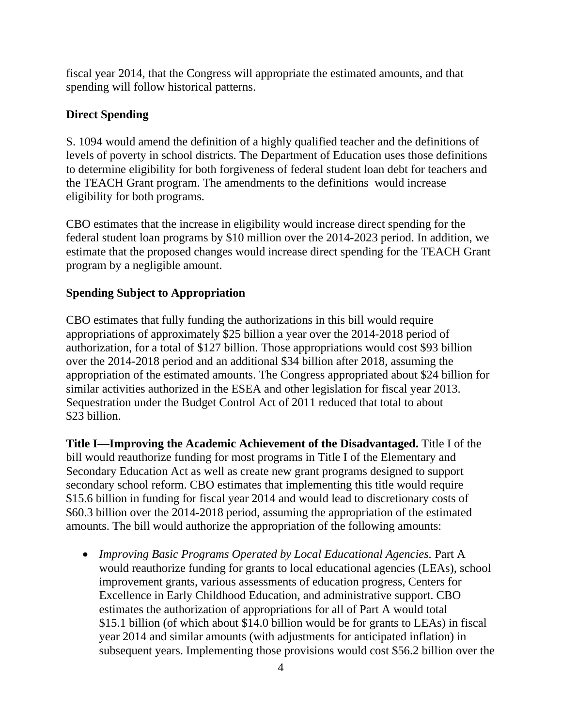fiscal year 2014, that the Congress will appropriate the estimated amounts, and that spending will follow historical patterns.

#### **Direct Spending**

S. 1094 would amend the definition of a highly qualified teacher and the definitions of levels of poverty in school districts. The Department of Education uses those definitions to determine eligibility for both forgiveness of federal student loan debt for teachers and the TEACH Grant program. The amendments to the definitions would increase eligibility for both programs.

CBO estimates that the increase in eligibility would increase direct spending for the federal student loan programs by \$10 million over the 2014-2023 period. In addition, we estimate that the proposed changes would increase direct spending for the TEACH Grant program by a negligible amount.

#### **Spending Subject to Appropriation**

CBO estimates that fully funding the authorizations in this bill would require appropriations of approximately \$25 billion a year over the 2014-2018 period of authorization, for a total of \$127 billion. Those appropriations would cost \$93 billion over the 2014-2018 period and an additional \$34 billion after 2018, assuming the appropriation of the estimated amounts. The Congress appropriated about \$24 billion for similar activities authorized in the ESEA and other legislation for fiscal year 2013. Sequestration under the Budget Control Act of 2011 reduced that total to about \$23 billion.

**Title I—Improving the Academic Achievement of the Disadvantaged.** Title I of the bill would reauthorize funding for most programs in Title I of the Elementary and Secondary Education Act as well as create new grant programs designed to support secondary school reform. CBO estimates that implementing this title would require \$15.6 billion in funding for fiscal year 2014 and would lead to discretionary costs of \$60.3 billion over the 2014-2018 period, assuming the appropriation of the estimated amounts. The bill would authorize the appropriation of the following amounts:

 *Improving Basic Programs Operated by Local Educational Agencies.* Part A would reauthorize funding for grants to local educational agencies (LEAs), school improvement grants, various assessments of education progress, Centers for Excellence in Early Childhood Education, and administrative support. CBO estimates the authorization of appropriations for all of Part A would total \$15.1 billion (of which about \$14.0 billion would be for grants to LEAs) in fiscal year 2014 and similar amounts (with adjustments for anticipated inflation) in subsequent years. Implementing those provisions would cost \$56.2 billion over the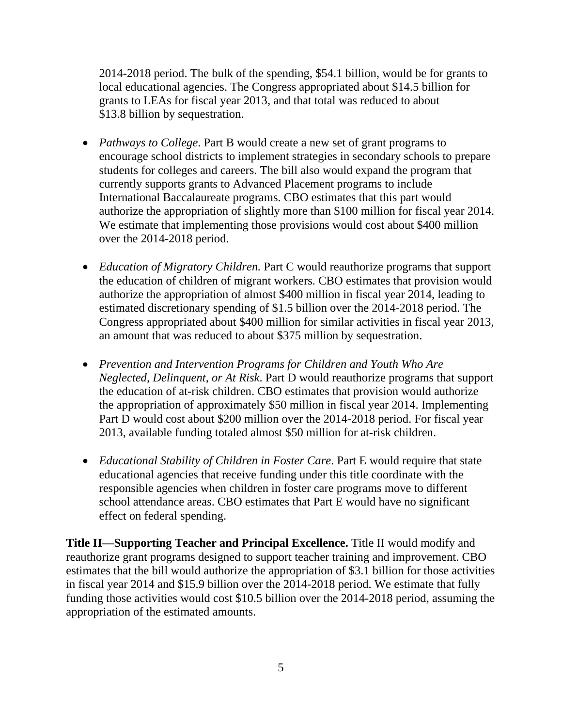2014-2018 period. The bulk of the spending, \$54.1 billion, would be for grants to local educational agencies. The Congress appropriated about \$14.5 billion for grants to LEAs for fiscal year 2013, and that total was reduced to about \$13.8 billion by sequestration.

- *Pathways to College*. Part B would create a new set of grant programs to encourage school districts to implement strategies in secondary schools to prepare students for colleges and careers. The bill also would expand the program that currently supports grants to Advanced Placement programs to include International Baccalaureate programs. CBO estimates that this part would authorize the appropriation of slightly more than \$100 million for fiscal year 2014. We estimate that implementing those provisions would cost about \$400 million over the 2014-2018 period.
- *Education of Migratory Children.* Part C would reauthorize programs that support the education of children of migrant workers. CBO estimates that provision would authorize the appropriation of almost \$400 million in fiscal year 2014, leading to estimated discretionary spending of \$1.5 billion over the 2014-2018 period. The Congress appropriated about \$400 million for similar activities in fiscal year 2013, an amount that was reduced to about \$375 million by sequestration.
- *Prevention and Intervention Programs for Children and Youth Who Are Neglected, Delinquent, or At Risk*. Part D would reauthorize programs that support the education of at-risk children. CBO estimates that provision would authorize the appropriation of approximately \$50 million in fiscal year 2014. Implementing Part D would cost about \$200 million over the 2014-2018 period. For fiscal year 2013, available funding totaled almost \$50 million for at-risk children.
- *Educational Stability of Children in Foster Care*. Part E would require that state educational agencies that receive funding under this title coordinate with the responsible agencies when children in foster care programs move to different school attendance areas. CBO estimates that Part E would have no significant effect on federal spending.

**Title II—Supporting Teacher and Principal Excellence.** Title II would modify and reauthorize grant programs designed to support teacher training and improvement. CBO estimates that the bill would authorize the appropriation of \$3.1 billion for those activities in fiscal year 2014 and \$15.9 billion over the 2014-2018 period. We estimate that fully funding those activities would cost \$10.5 billion over the 2014-2018 period, assuming the appropriation of the estimated amounts.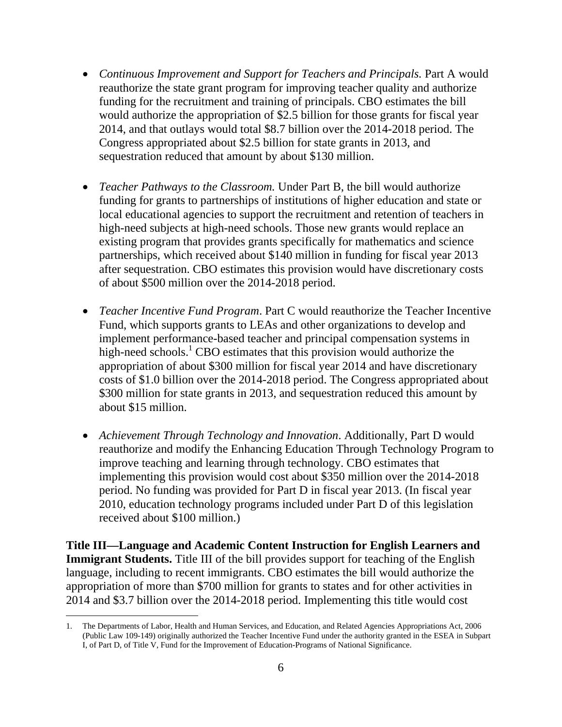- *Continuous Improvement and Support for Teachers and Principals.* Part A would reauthorize the state grant program for improving teacher quality and authorize funding for the recruitment and training of principals. CBO estimates the bill would authorize the appropriation of \$2.5 billion for those grants for fiscal year 2014, and that outlays would total \$8.7 billion over the 2014-2018 period. The Congress appropriated about \$2.5 billion for state grants in 2013, and sequestration reduced that amount by about \$130 million.
- *Teacher Pathways to the Classroom.* Under Part B, the bill would authorize funding for grants to partnerships of institutions of higher education and state or local educational agencies to support the recruitment and retention of teachers in high-need subjects at high-need schools. Those new grants would replace an existing program that provides grants specifically for mathematics and science partnerships, which received about \$140 million in funding for fiscal year 2013 after sequestration. CBO estimates this provision would have discretionary costs of about \$500 million over the 2014-2018 period.
- *Teacher Incentive Fund Program*. Part C would reauthorize the Teacher Incentive Fund, which supports grants to LEAs and other organizations to develop and implement performance-based teacher and principal compensation systems in high-need schools.<sup>1</sup> CBO estimates that this provision would authorize the appropriation of about \$300 million for fiscal year 2014 and have discretionary costs of \$1.0 billion over the 2014-2018 period. The Congress appropriated about \$300 million for state grants in 2013, and sequestration reduced this amount by about \$15 million.
- *Achievement Through Technology and Innovation*. Additionally, Part D would reauthorize and modify the Enhancing Education Through Technology Program to improve teaching and learning through technology. CBO estimates that implementing this provision would cost about \$350 million over the 2014-2018 period. No funding was provided for Part D in fiscal year 2013. (In fiscal year 2010, education technology programs included under Part D of this legislation received about \$100 million.)

**Title III—Language and Academic Content Instruction for English Learners and Immigrant Students.** Title III of the bill provides support for teaching of the English language, including to recent immigrants. CBO estimates the bill would authorize the appropriation of more than \$700 million for grants to states and for other activities in 2014 and \$3.7 billion over the 2014-2018 period. Implementing this title would cost

<sup>1.</sup> The Departments of Labor, Health and Human Services, and Education, and Related Agencies Appropriations Act, 2006 (Public Law 109-149) originally authorized the Teacher Incentive Fund under the authority granted in the ESEA in Subpart I, of Part D, of Title V, Fund for the Improvement of Education-Programs of National Significance.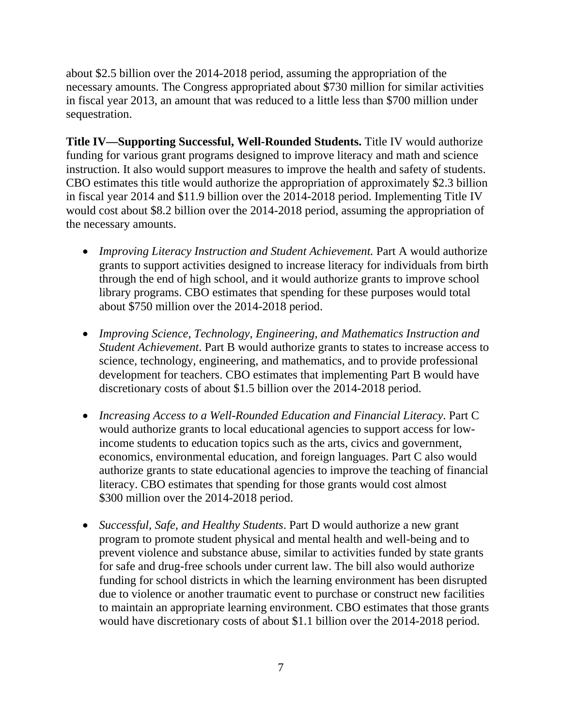about \$2.5 billion over the 2014-2018 period, assuming the appropriation of the necessary amounts. The Congress appropriated about \$730 million for similar activities in fiscal year 2013, an amount that was reduced to a little less than \$700 million under sequestration.

**Title IV—Supporting Successful, Well-Rounded Students.** Title IV would authorize funding for various grant programs designed to improve literacy and math and science instruction. It also would support measures to improve the health and safety of students. CBO estimates this title would authorize the appropriation of approximately \$2.3 billion in fiscal year 2014 and \$11.9 billion over the 2014-2018 period. Implementing Title IV would cost about \$8.2 billion over the 2014-2018 period, assuming the appropriation of the necessary amounts.

- *Improving Literacy Instruction and Student Achievement.* Part A would authorize grants to support activities designed to increase literacy for individuals from birth through the end of high school, and it would authorize grants to improve school library programs. CBO estimates that spending for these purposes would total about \$750 million over the 2014-2018 period.
- *Improving Science, Technology, Engineering, and Mathematics Instruction and Student Achievement*. Part B would authorize grants to states to increase access to science, technology, engineering, and mathematics, and to provide professional development for teachers. CBO estimates that implementing Part B would have discretionary costs of about \$1.5 billion over the 2014-2018 period.
- *Increasing Access to a Well-Rounded Education and Financial Literacy*. Part C would authorize grants to local educational agencies to support access for lowincome students to education topics such as the arts, civics and government, economics, environmental education, and foreign languages. Part C also would authorize grants to state educational agencies to improve the teaching of financial literacy. CBO estimates that spending for those grants would cost almost \$300 million over the 2014-2018 period.
- *Successful, Safe, and Healthy Students*. Part D would authorize a new grant program to promote student physical and mental health and well-being and to prevent violence and substance abuse, similar to activities funded by state grants for safe and drug-free schools under current law. The bill also would authorize funding for school districts in which the learning environment has been disrupted due to violence or another traumatic event to purchase or construct new facilities to maintain an appropriate learning environment. CBO estimates that those grants would have discretionary costs of about \$1.1 billion over the 2014-2018 period.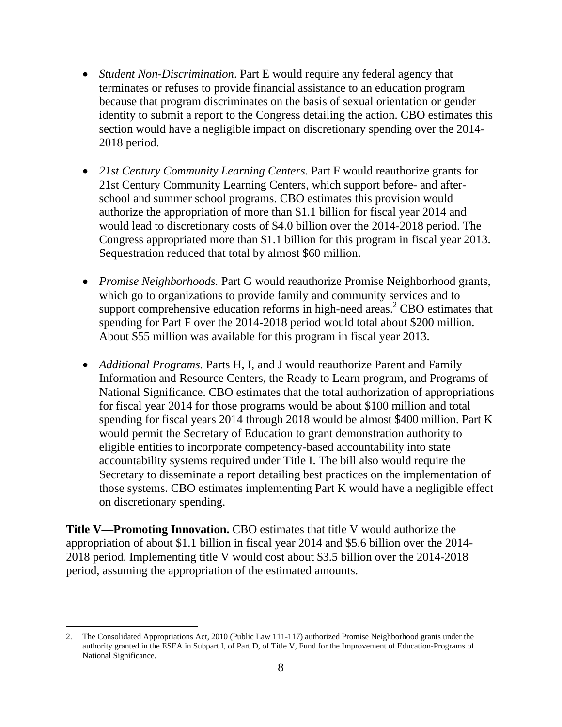- *Student Non-Discrimination*. Part E would require any federal agency that terminates or refuses to provide financial assistance to an education program because that program discriminates on the basis of sexual orientation or gender identity to submit a report to the Congress detailing the action. CBO estimates this section would have a negligible impact on discretionary spending over the 2014- 2018 period.
- *21st Century Community Learning Centers.* Part F would reauthorize grants for 21st Century Community Learning Centers, which support before- and afterschool and summer school programs. CBO estimates this provision would authorize the appropriation of more than \$1.1 billion for fiscal year 2014 and would lead to discretionary costs of \$4.0 billion over the 2014-2018 period. The Congress appropriated more than \$1.1 billion for this program in fiscal year 2013. Sequestration reduced that total by almost \$60 million.
- *Promise Neighborhoods.* Part G would reauthorize Promise Neighborhood grants, which go to organizations to provide family and community services and to support comprehensive education reforms in high-need areas.<sup>2</sup> CBO estimates that spending for Part F over the 2014-2018 period would total about \$200 million. About \$55 million was available for this program in fiscal year 2013.
- *Additional Programs.* Parts H, I, and J would reauthorize Parent and Family Information and Resource Centers, the Ready to Learn program, and Programs of National Significance. CBO estimates that the total authorization of appropriations for fiscal year 2014 for those programs would be about \$100 million and total spending for fiscal years 2014 through 2018 would be almost \$400 million. Part K would permit the Secretary of Education to grant demonstration authority to eligible entities to incorporate competency-based accountability into state accountability systems required under Title I. The bill also would require the Secretary to disseminate a report detailing best practices on the implementation of those systems. CBO estimates implementing Part K would have a negligible effect on discretionary spending.

**Title V—Promoting Innovation.** CBO estimates that title V would authorize the appropriation of about \$1.1 billion in fiscal year 2014 and \$5.6 billion over the 2014- 2018 period. Implementing title V would cost about \$3.5 billion over the 2014-2018 period, assuming the appropriation of the estimated amounts.

 $\overline{a}$ 

<sup>2.</sup> The Consolidated Appropriations Act, 2010 (Public Law 111-117) authorized Promise Neighborhood grants under the authority granted in the ESEA in Subpart I, of Part D, of Title V, Fund for the Improvement of Education-Programs of National Significance.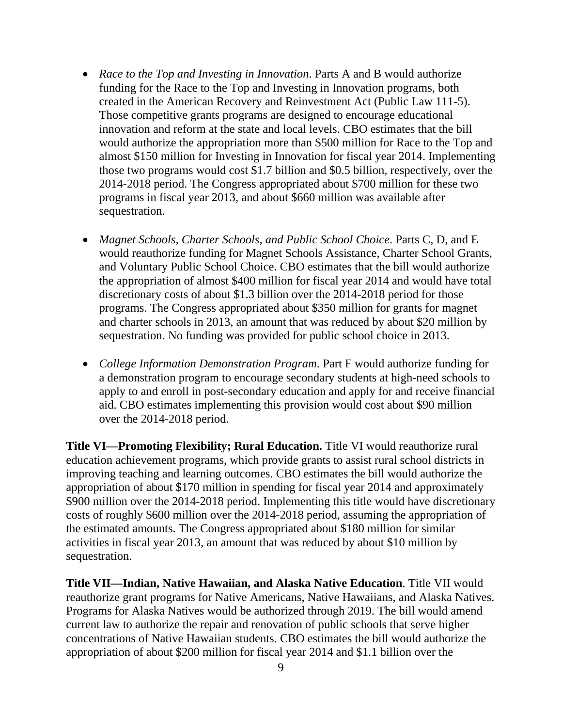- *Race to the Top and Investing in Innovation*. Parts A and B would authorize funding for the Race to the Top and Investing in Innovation programs, both created in the American Recovery and Reinvestment Act (Public Law 111-5). Those competitive grants programs are designed to encourage educational innovation and reform at the state and local levels. CBO estimates that the bill would authorize the appropriation more than \$500 million for Race to the Top and almost \$150 million for Investing in Innovation for fiscal year 2014. Implementing those two programs would cost \$1.7 billion and \$0.5 billion, respectively, over the 2014-2018 period. The Congress appropriated about \$700 million for these two programs in fiscal year 2013, and about \$660 million was available after sequestration.
- *Magnet Schools, Charter Schools, and Public School Choice*. Parts C, D, and E would reauthorize funding for Magnet Schools Assistance, Charter School Grants, and Voluntary Public School Choice. CBO estimates that the bill would authorize the appropriation of almost \$400 million for fiscal year 2014 and would have total discretionary costs of about \$1.3 billion over the 2014-2018 period for those programs. The Congress appropriated about \$350 million for grants for magnet and charter schools in 2013, an amount that was reduced by about \$20 million by sequestration. No funding was provided for public school choice in 2013.
- *College Information Demonstration Program*. Part F would authorize funding for a demonstration program to encourage secondary students at high-need schools to apply to and enroll in post-secondary education and apply for and receive financial aid. CBO estimates implementing this provision would cost about \$90 million over the 2014-2018 period.

**Title VI—Promoting Flexibility; Rural Education.** Title VI would reauthorize rural education achievement programs, which provide grants to assist rural school districts in improving teaching and learning outcomes. CBO estimates the bill would authorize the appropriation of about \$170 million in spending for fiscal year 2014 and approximately \$900 million over the 2014-2018 period. Implementing this title would have discretionary costs of roughly \$600 million over the 2014-2018 period, assuming the appropriation of the estimated amounts. The Congress appropriated about \$180 million for similar activities in fiscal year 2013, an amount that was reduced by about \$10 million by sequestration.

**Title VII—Indian, Native Hawaiian, and Alaska Native Education**. Title VII would reauthorize grant programs for Native Americans, Native Hawaiians, and Alaska Natives. Programs for Alaska Natives would be authorized through 2019. The bill would amend current law to authorize the repair and renovation of public schools that serve higher concentrations of Native Hawaiian students. CBO estimates the bill would authorize the appropriation of about \$200 million for fiscal year 2014 and \$1.1 billion over the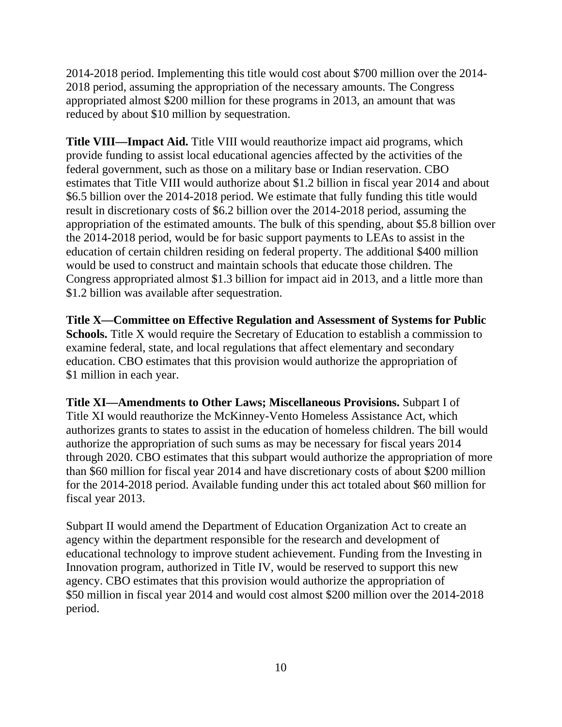2014-2018 period. Implementing this title would cost about \$700 million over the 2014- 2018 period, assuming the appropriation of the necessary amounts. The Congress appropriated almost \$200 million for these programs in 2013, an amount that was reduced by about \$10 million by sequestration.

**Title VIII—Impact Aid.** Title VIII would reauthorize impact aid programs, which provide funding to assist local educational agencies affected by the activities of the federal government, such as those on a military base or Indian reservation. CBO estimates that Title VIII would authorize about \$1.2 billion in fiscal year 2014 and about \$6.5 billion over the 2014-2018 period. We estimate that fully funding this title would result in discretionary costs of \$6.2 billion over the 2014-2018 period, assuming the appropriation of the estimated amounts. The bulk of this spending, about \$5.8 billion over the 2014-2018 period, would be for basic support payments to LEAs to assist in the education of certain children residing on federal property. The additional \$400 million would be used to construct and maintain schools that educate those children. The Congress appropriated almost \$1.3 billion for impact aid in 2013, and a little more than \$1.2 billion was available after sequestration.

**Title X—Committee on Effective Regulation and Assessment of Systems for Public Schools.** Title X would require the Secretary of Education to establish a commission to examine federal, state, and local regulations that affect elementary and secondary education. CBO estimates that this provision would authorize the appropriation of \$1 million in each year.

**Title XI—Amendments to Other Laws; Miscellaneous Provisions.** Subpart I of Title XI would reauthorize the McKinney-Vento Homeless Assistance Act, which authorizes grants to states to assist in the education of homeless children. The bill would authorize the appropriation of such sums as may be necessary for fiscal years 2014 through 2020. CBO estimates that this subpart would authorize the appropriation of more than \$60 million for fiscal year 2014 and have discretionary costs of about \$200 million for the 2014-2018 period. Available funding under this act totaled about \$60 million for fiscal year 2013.

Subpart II would amend the Department of Education Organization Act to create an agency within the department responsible for the research and development of educational technology to improve student achievement. Funding from the Investing in Innovation program, authorized in Title IV, would be reserved to support this new agency. CBO estimates that this provision would authorize the appropriation of \$50 million in fiscal year 2014 and would cost almost \$200 million over the 2014-2018 period.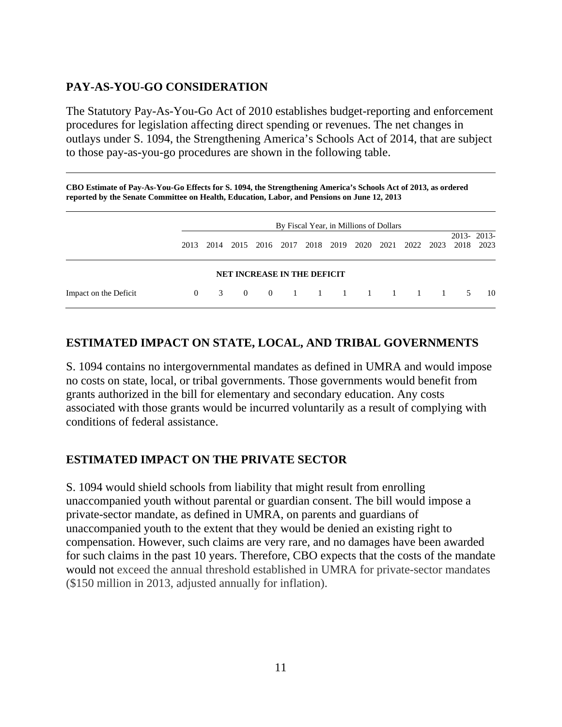#### **PAY-AS-YOU-GO CONSIDERATION**

The Statutory Pay-As-You-Go Act of 2010 establishes budget-reporting and enforcement procedures for legislation affecting direct spending or revenues. The net changes in outlays under S. 1094, the Strengthening America's Schools Act of 2014, that are subject to those pay-as-you-go procedures are shown in the following table.

**CBO Estimate of Pay-As-You-Go Effects for S. 1094, the Strengthening America's Schools Act of 2013, as ordered reported by the Senate Committee on Health, Education, Labor, and Pensions on June 12, 2013**

|                       | By Fiscal Year, in Millions of Dollars |               |  |  |                             |  |  |  |  |                          |            |      |
|-----------------------|----------------------------------------|---------------|--|--|-----------------------------|--|--|--|--|--------------------------|------------|------|
|                       | 2013                                   | 2014          |  |  | 2015 2016 2017 2018 2019    |  |  |  |  | 2020 2021 2022 2023 2018 | 2013-2013- | 2023 |
|                       |                                        |               |  |  | NET INCREASE IN THE DEFICIT |  |  |  |  |                          |            |      |
| Impact on the Deficit | $\Omega$                               | $\mathcal{R}$ |  |  |                             |  |  |  |  | 0 0 1 1 1 1 1 1 1 5      |            | -10  |

#### **ESTIMATED IMPACT ON STATE, LOCAL, AND TRIBAL GOVERNMENTS**

S. 1094 contains no intergovernmental mandates as defined in UMRA and would impose no costs on state, local, or tribal governments. Those governments would benefit from grants authorized in the bill for elementary and secondary education. Any costs associated with those grants would be incurred voluntarily as a result of complying with conditions of federal assistance.

#### **ESTIMATED IMPACT ON THE PRIVATE SECTOR**

S. 1094 would shield schools from liability that might result from enrolling unaccompanied youth without parental or guardian consent. The bill would impose a private-sector mandate, as defined in UMRA, on parents and guardians of unaccompanied youth to the extent that they would be denied an existing right to compensation. However, such claims are very rare, and no damages have been awarded for such claims in the past 10 years. Therefore, CBO expects that the costs of the mandate would not exceed the annual threshold established in UMRA for private-sector mandates (\$150 million in 2013, adjusted annually for inflation).